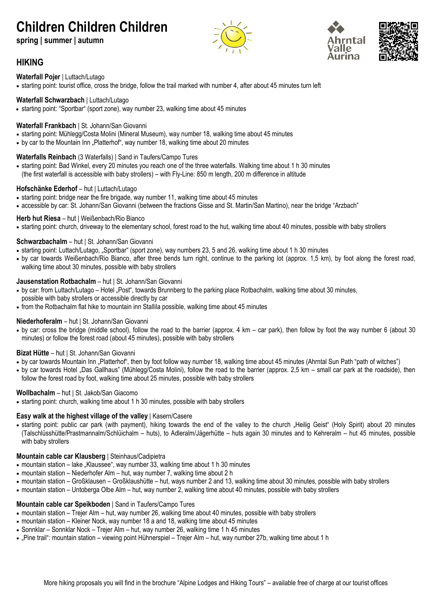# **Children Children Children**

**spring | summer | autumn**







# **HIKING**

**Waterfall Pojer** | Luttach/Lutago

• starting point: tourist office, cross the bridge, follow the trail marked with number 4, after about 45 minutes turn left

#### **Waterfall Schwarzbach** | Luttach/Lutago

• starting point: "Sportbar" (sport zone), way number 23, walking time about 45 minutes

#### **Waterfall Frankbach** | St. Johann/San Giovanni

- starting point: Mühlegg/Costa Molini (Mineral Museum), way number 18, walking time about 45 minutes
- by car to the Mountain Inn "Platterhof", way number 18, walking time about 20 minutes

#### **Waterfalls Reinbach** (3 Waterfalls) | Sand in Taufers/Campo Tures

• starting point: Bad Winkel, every 20 minutes you reach one of the three waterfalls. Walking time about 1 h 30 minutes (the first waterfall is accessible with baby strollers) – with Fly-Line: 850 m length, 200 m difference in altitude

#### **Hofschänke Ederhof** – hut | Luttach/Lutago

- starting point: bridge near the fire brigade, way number 11, walking time about 45 minutes
- accessible by car: St. Johann/San Giovanni (between the fractions Gisse and St. Martin/San Martino), near the bridge "Arzbach"

#### **Herb hut Riesa** – hut | Weißenbach/Rio Bianco

• starting point: church, driveway to the elementary school, forest road to the hut, walking time about 40 minutes, possible with baby strollers

#### **Schwarzbachalm** – hut | St. Johann/San Giovanni

- starting point: Luttach/Lutago, "Sportbar" (sport zone), way numbers 23, 5 and 26, walking time about 1 h 30 minutes
- by car towards Weißenbach/Rio Bianco, after three bends turn right, continue to the parking lot (approx. 1,5 km), by foot along the forest road, walking time about 30 minutes, possible with baby strollers

#### **Jausenstation Rotbachalm** – hut | St. Johann/San Giovanni

- by car: from Luttach/Lutago Hotel "Post", towards Brunnberg to the parking place Rotbachalm, walking time about 30 minutes, possible with baby strollers or accessible directly by car
- from the Rotbachalm flat hike to mountain inn Stallila possible, walking time about 45 minutes

#### **Niederhoferalm** – hut | St. Johann/San Giovanni

• by car: cross the bridge (middle school), follow the road to the barrier (approx. 4 km – car park), then follow by foot the way number 6 (about 30 minutes) or follow the forest road (about 45 minutes), possible with baby strollers

#### **Bizat Hütte** – hut | St. Johann/San Giovanni

- by car towards Mountain Inn "Platterhof", then by foot follow way number 18, walking time about 45 minutes (Ahrntal Sun Path "path of witches")
- by car towards Hotel "Das Gallhaus" (Mühlegg/Costa Molini), follow the road to the barrier (approx. 2,5 km small car park at the roadside), then follow the forest road by foot, walking time about 25 minutes, possible with baby strollers

#### **Wollbachalm** – hut | St. Jakob/San Giacomo

• starting point: church, walking time about 1 h 30 minutes, possible with baby strollers

#### **Easy walk at the highest village of the valley** | Kasern/Casere

• starting point: public car park (with payment), hiking towards the end of the valley to the church "Heilig Geist" (Holy Spirit) about 20 minutes (Talschlüsshütte/Prastmannalm/Schlüichalm – huts), to Adleralm/Jägerhütte – huts again 30 minutes and to Kehreralm – hut 45 minutes, possible with baby strollers

#### **Mountain cable car Klausberg** | Steinhaus/Cadipietra

- mountain station lake "Klaussee", way number 33, walking time about 1 h 30 minutes
- mountain station Niederhofer Alm hut, way number 7, walking time about 2 h
- mountain station Großklausen Großklaushütte hut, ways number 2 and 13, walking time about 30 minutes, possible with baby strollers
- mountain station Untoberga Olbe Alm hut, way number 2, walking time about 40 minutes, possible with baby strollers

#### **Mountain cable car Speikboden** | Sand in Taufers/Campo Tures

- mountain station Trejer Alm hut, way number 26, walking time about 40 minutes, possible with baby strollers
- mountain station Kleiner Nock, way number 18 a and 18, walking time about 45 minutes
- Sonnklar Sonnklar Nock Trejer Alm hut, way number 26, walking time 1 h 45 minutes
- "Pine trail": mountain station viewing point Hühnerspiel Trejer Alm hut, way number 27b, walking time about 1 h